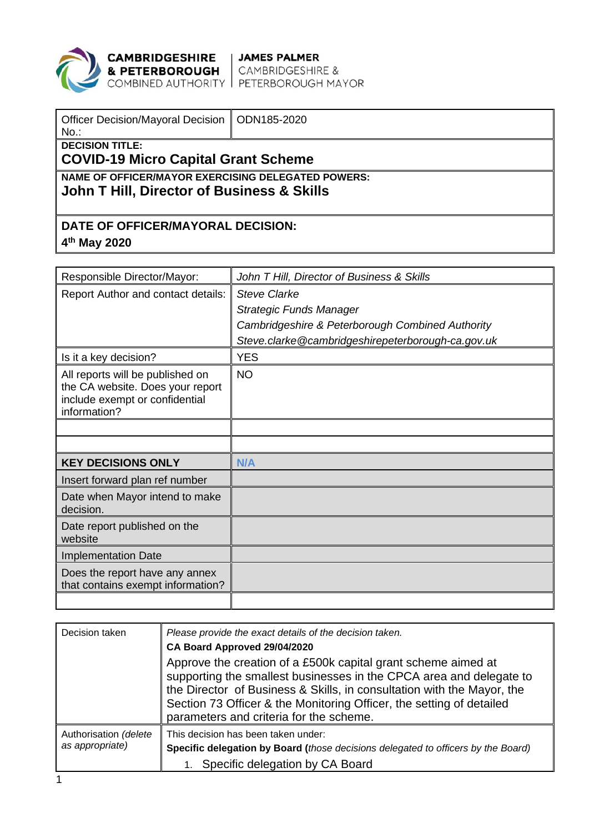

**CAMBRIDGESHIRE** JAMES PALMER<br>**& PETERBOROUGH** CAMBRIDGESHIRE &<br>COMBINED AUTHORITY PETERBOROUGH MAYOR

| Officer Decision/Mayoral Decision   ODN185-2020<br>$No.$ :                                       |  |  |  |
|--------------------------------------------------------------------------------------------------|--|--|--|
| <b>DECISION TITLE:</b><br><b>COVID-19 Micro Capital Grant Scheme</b>                             |  |  |  |
| NAME OF OFFICER/MAYOR EXERCISING DELEGATED POWERS:<br>John T Hill, Director of Business & Skills |  |  |  |
| DATE OF OFFICER/MAYORAL DECISION:                                                                |  |  |  |

**4th May 2020**

| Responsible Director/Mayor:                                                                                            | John T Hill, Director of Business & Skills        |
|------------------------------------------------------------------------------------------------------------------------|---------------------------------------------------|
| Report Author and contact details:                                                                                     | <b>Steve Clarke</b>                               |
|                                                                                                                        | <b>Strategic Funds Manager</b>                    |
|                                                                                                                        | Cambridgeshire & Peterborough Combined Authority  |
|                                                                                                                        | Steve.clarke@cambridgeshirepeterborough-ca.gov.uk |
| Is it a key decision?                                                                                                  | <b>YES</b>                                        |
| All reports will be published on<br>the CA website. Does your report<br>include exempt or confidential<br>information? | <b>NO</b>                                         |
|                                                                                                                        |                                                   |
|                                                                                                                        |                                                   |
| <b>KEY DECISIONS ONLY</b>                                                                                              | N/A                                               |
| Insert forward plan ref number                                                                                         |                                                   |
| Date when Mayor intend to make<br>decision.                                                                            |                                                   |
| Date report published on the<br>website                                                                                |                                                   |
| <b>Implementation Date</b>                                                                                             |                                                   |
| Does the report have any annex<br>that contains exempt information?                                                    |                                                   |
|                                                                                                                        |                                                   |

| Decision taken                           | Please provide the exact details of the decision taken.<br>CA Board Approved 29/04/2020                                                                                                                                                                                                                                           |
|------------------------------------------|-----------------------------------------------------------------------------------------------------------------------------------------------------------------------------------------------------------------------------------------------------------------------------------------------------------------------------------|
|                                          | Approve the creation of a £500k capital grant scheme aimed at<br>supporting the smallest businesses in the CPCA area and delegate to<br>the Director of Business & Skills, in consultation with the Mayor, the<br>Section 73 Officer & the Monitoring Officer, the setting of detailed<br>parameters and criteria for the scheme. |
| Authorisation (delete<br>as appropriate) | This decision has been taken under:<br>Specific delegation by Board (those decisions delegated to officers by the Board)<br>Specific delegation by CA Board                                                                                                                                                                       |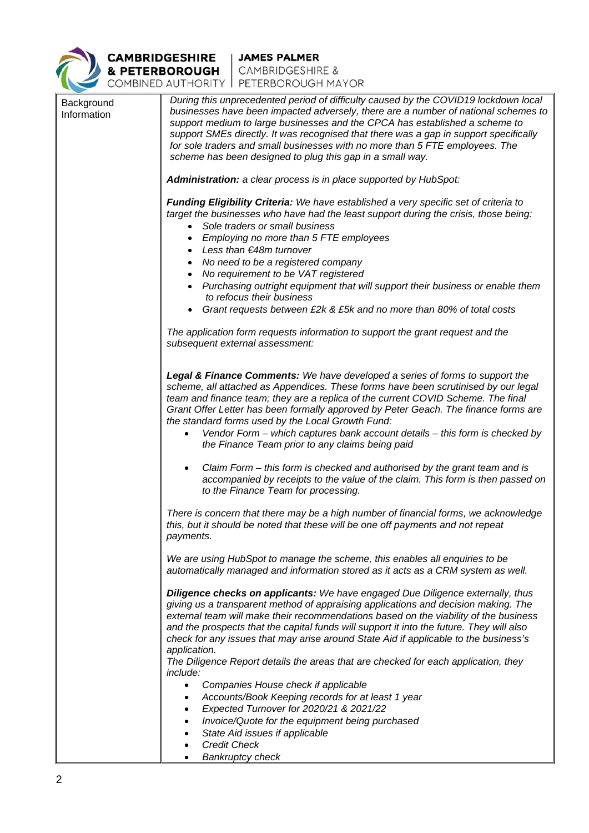

**CAMBRIDGESHIRE** JAMES PALMER<br>
& PETERBOROUGH CAMBRIDGESHIRE &<br>
COMBINED AUTHORITY PETERBOROUGH MAYOR

| Background<br>Information | During this unprecedented period of difficulty caused by the COVID19 lockdown local<br>businesses have been impacted adversely, there are a number of national schemes to<br>support medium to large businesses and the CPCA has established a scheme to<br>support SMEs directly. It was recognised that there was a gap in support specifically<br>for sole traders and small businesses with no more than 5 FTE employees. The<br>scheme has been designed to plug this gap in a small way.<br>Administration: a clear process is in place supported by HubSpot:<br>Funding Eligibility Criteria: We have established a very specific set of criteria to |
|---------------------------|-------------------------------------------------------------------------------------------------------------------------------------------------------------------------------------------------------------------------------------------------------------------------------------------------------------------------------------------------------------------------------------------------------------------------------------------------------------------------------------------------------------------------------------------------------------------------------------------------------------------------------------------------------------|
|                           | target the businesses who have had the least support during the crisis, those being:                                                                                                                                                                                                                                                                                                                                                                                                                                                                                                                                                                        |
|                           | Sole traders or small business                                                                                                                                                                                                                                                                                                                                                                                                                                                                                                                                                                                                                              |
|                           | Employing no more than 5 FTE employees                                                                                                                                                                                                                                                                                                                                                                                                                                                                                                                                                                                                                      |
|                           | Less than €48m turnover                                                                                                                                                                                                                                                                                                                                                                                                                                                                                                                                                                                                                                     |
|                           | No need to be a registered company<br>No requirement to be VAT registered                                                                                                                                                                                                                                                                                                                                                                                                                                                                                                                                                                                   |
|                           | Purchasing outright equipment that will support their business or enable them                                                                                                                                                                                                                                                                                                                                                                                                                                                                                                                                                                               |
|                           | to refocus their business                                                                                                                                                                                                                                                                                                                                                                                                                                                                                                                                                                                                                                   |
|                           | Grant requests between £2k & £5k and no more than 80% of total costs                                                                                                                                                                                                                                                                                                                                                                                                                                                                                                                                                                                        |
|                           | The application form requests information to support the grant request and the<br>subsequent external assessment:                                                                                                                                                                                                                                                                                                                                                                                                                                                                                                                                           |
|                           | Legal & Finance Comments: We have developed a series of forms to support the<br>scheme, all attached as Appendices. These forms have been scrutinised by our legal<br>team and finance team; they are a replica of the current COVID Scheme. The final<br>Grant Offer Letter has been formally approved by Peter Geach. The finance forms are<br>the standard forms used by the Local Growth Fund:<br>Vendor Form – which captures bank account details – this form is checked by<br>the Finance Team prior to any claims being paid                                                                                                                        |
|                           | Claim Form – this form is checked and authorised by the grant team and is<br>accompanied by receipts to the value of the claim. This form is then passed on<br>to the Finance Team for processing.                                                                                                                                                                                                                                                                                                                                                                                                                                                          |
|                           | There is concern that there may be a high number of financial forms, we acknowledge<br>this, but it should be noted that these will be one off payments and not repeat<br>payments.                                                                                                                                                                                                                                                                                                                                                                                                                                                                         |
|                           | We are using HubSpot to manage the scheme, this enables all enquiries to be<br>automatically managed and information stored as it acts as a CRM system as well.                                                                                                                                                                                                                                                                                                                                                                                                                                                                                             |
|                           | Diligence checks on applicants: We have engaged Due Diligence externally, thus<br>giving us a transparent method of appraising applications and decision making. The<br>external team will make their recommendations based on the viability of the business<br>and the prospects that the capital funds will support it into the future. They will also<br>check for any issues that may arise around State Aid if applicable to the business's<br>application.                                                                                                                                                                                            |
|                           | The Diligence Report details the areas that are checked for each application, they<br><i>include:</i>                                                                                                                                                                                                                                                                                                                                                                                                                                                                                                                                                       |
|                           | Companies House check if applicable<br>$\bullet$                                                                                                                                                                                                                                                                                                                                                                                                                                                                                                                                                                                                            |
|                           | Accounts/Book Keeping records for at least 1 year<br>٠                                                                                                                                                                                                                                                                                                                                                                                                                                                                                                                                                                                                      |
|                           | Expected Turnover for 2020/21 & 2021/22<br>$\bullet$                                                                                                                                                                                                                                                                                                                                                                                                                                                                                                                                                                                                        |
|                           | Invoice/Quote for the equipment being purchased                                                                                                                                                                                                                                                                                                                                                                                                                                                                                                                                                                                                             |
|                           | State Aid issues if applicable                                                                                                                                                                                                                                                                                                                                                                                                                                                                                                                                                                                                                              |
|                           | <b>Credit Check</b>                                                                                                                                                                                                                                                                                                                                                                                                                                                                                                                                                                                                                                         |
|                           | <b>Bankruptcy check</b>                                                                                                                                                                                                                                                                                                                                                                                                                                                                                                                                                                                                                                     |
|                           |                                                                                                                                                                                                                                                                                                                                                                                                                                                                                                                                                                                                                                                             |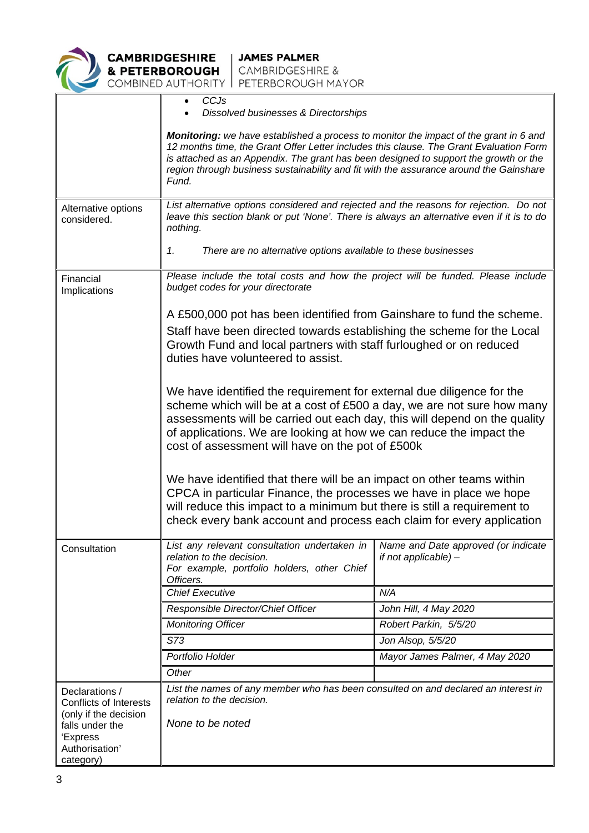

|                                                                          | CCJs<br>Dissolved businesses & Directorships                                                                                                                                                                                                                                                                                                                                      |                                                               |  |  |
|--------------------------------------------------------------------------|-----------------------------------------------------------------------------------------------------------------------------------------------------------------------------------------------------------------------------------------------------------------------------------------------------------------------------------------------------------------------------------|---------------------------------------------------------------|--|--|
|                                                                          | <b>Monitoring:</b> we have established a process to monitor the impact of the grant in 6 and<br>12 months time, the Grant Offer Letter includes this clause. The Grant Evaluation Form<br>is attached as an Appendix. The grant has been designed to support the growth or the<br>region through business sustainability and fit with the assurance around the Gainshare<br>Fund. |                                                               |  |  |
| Alternative options<br>considered.                                       | List alternative options considered and rejected and the reasons for rejection. Do not<br>leave this section blank or put 'None'. There is always an alternative even if it is to do<br>nothing.                                                                                                                                                                                  |                                                               |  |  |
|                                                                          | 1.<br>There are no alternative options available to these businesses                                                                                                                                                                                                                                                                                                              |                                                               |  |  |
| Financial<br>Implications                                                | Please include the total costs and how the project will be funded. Please include<br>budget codes for your directorate                                                                                                                                                                                                                                                            |                                                               |  |  |
|                                                                          | A £500,000 pot has been identified from Gainshare to fund the scheme.                                                                                                                                                                                                                                                                                                             |                                                               |  |  |
|                                                                          | Staff have been directed towards establishing the scheme for the Local<br>Growth Fund and local partners with staff furloughed or on reduced<br>duties have volunteered to assist.                                                                                                                                                                                                |                                                               |  |  |
|                                                                          | We have identified the requirement for external due diligence for the<br>scheme which will be at a cost of £500 a day, we are not sure how many<br>assessments will be carried out each day, this will depend on the quality<br>of applications. We are looking at how we can reduce the impact the<br>cost of assessment will have on the pot of £500k                           |                                                               |  |  |
|                                                                          | We have identified that there will be an impact on other teams within<br>CPCA in particular Finance, the processes we have in place we hope<br>will reduce this impact to a minimum but there is still a requirement to<br>check every bank account and process each claim for every application                                                                                  |                                                               |  |  |
| Consultation                                                             | List any relevant consultation undertaken in<br>relation to the decision.<br>For example, portfolio holders, other Chief<br>Officers.                                                                                                                                                                                                                                             | Name and Date approved (or indicate<br>if not applicable) $-$ |  |  |
|                                                                          | <b>Chief Executive</b>                                                                                                                                                                                                                                                                                                                                                            | N/A                                                           |  |  |
|                                                                          | Responsible Director/Chief Officer                                                                                                                                                                                                                                                                                                                                                | John Hill, 4 May 2020                                         |  |  |
|                                                                          | <b>Monitoring Officer</b>                                                                                                                                                                                                                                                                                                                                                         | Robert Parkin, 5/5/20                                         |  |  |
|                                                                          | S73                                                                                                                                                                                                                                                                                                                                                                               | Jon Alsop, 5/5/20                                             |  |  |
|                                                                          | Portfolio Holder                                                                                                                                                                                                                                                                                                                                                                  | Mayor James Palmer, 4 May 2020                                |  |  |
|                                                                          | Other                                                                                                                                                                                                                                                                                                                                                                             |                                                               |  |  |
| Declarations /<br><b>Conflicts of Interests</b><br>(only if the decision | List the names of any member who has been consulted on and declared an interest in<br>relation to the decision.                                                                                                                                                                                                                                                                   |                                                               |  |  |
| falls under the<br>'Express<br>Authorisation'<br>category)               | None to be noted                                                                                                                                                                                                                                                                                                                                                                  |                                                               |  |  |